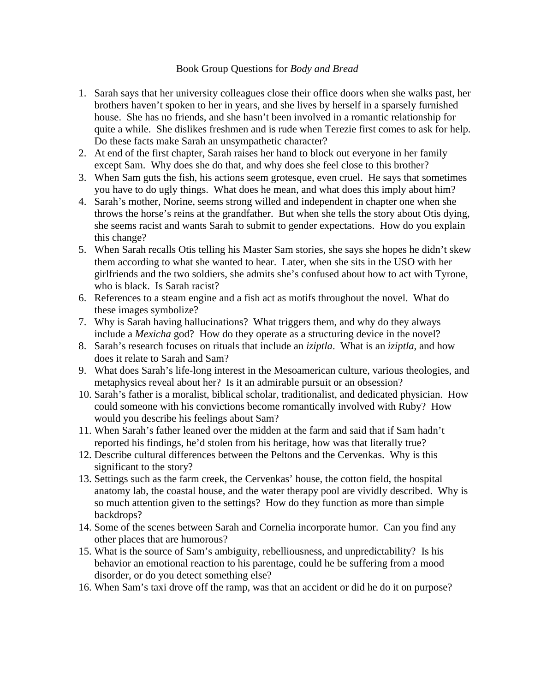## Book Group Questions for *Body and Bread*

- 1. Sarah says that her university colleagues close their office doors when she walks past, her brothers haven't spoken to her in years, and she lives by herself in a sparsely furnished house. She has no friends, and she hasn't been involved in a romantic relationship for quite a while. She dislikes freshmen and is rude when Terezie first comes to ask for help. Do these facts make Sarah an unsympathetic character?
- 2. At end of the first chapter, Sarah raises her hand to block out everyone in her family except Sam. Why does she do that, and why does she feel close to this brother?
- 3. When Sam guts the fish, his actions seem grotesque, even cruel. He says that sometimes you have to do ugly things. What does he mean, and what does this imply about him?
- 4. Sarah's mother, Norine, seems strong willed and independent in chapter one when she throws the horse's reins at the grandfather. But when she tells the story about Otis dying, she seems racist and wants Sarah to submit to gender expectations. How do you explain this change?
- 5. When Sarah recalls Otis telling his Master Sam stories, she says she hopes he didn't skew them according to what she wanted to hear. Later, when she sits in the USO with her girlfriends and the two soldiers, she admits she's confused about how to act with Tyrone, who is black. Is Sarah racist?
- 6. References to a steam engine and a fish act as motifs throughout the novel. What do these images symbolize?
- 7. Why is Sarah having hallucinations? What triggers them, and why do they always include a *Mexicha* god? How do they operate as a structuring device in the novel?
- 8. Sarah's research focuses on rituals that include an *iziptla*. What is an *iziptla*, and how does it relate to Sarah and Sam?
- 9. What does Sarah's life-long interest in the Mesoamerican culture, various theologies, and metaphysics reveal about her? Is it an admirable pursuit or an obsession?
- 10. Sarah's father is a moralist, biblical scholar, traditionalist, and dedicated physician. How could someone with his convictions become romantically involved with Ruby? How would you describe his feelings about Sam?
- 11. When Sarah's father leaned over the midden at the farm and said that if Sam hadn't reported his findings, he'd stolen from his heritage, how was that literally true?
- 12. Describe cultural differences between the Peltons and the Cervenkas. Why is this significant to the story?
- 13. Settings such as the farm creek, the Cervenkas' house, the cotton field, the hospital anatomy lab, the coastal house, and the water therapy pool are vividly described. Why is so much attention given to the settings? How do they function as more than simple backdrops?
- 14. Some of the scenes between Sarah and Cornelia incorporate humor. Can you find any other places that are humorous?
- 15. What is the source of Sam's ambiguity, rebelliousness, and unpredictability? Is his behavior an emotional reaction to his parentage, could he be suffering from a mood disorder, or do you detect something else?
- 16. When Sam's taxi drove off the ramp, was that an accident or did he do it on purpose?